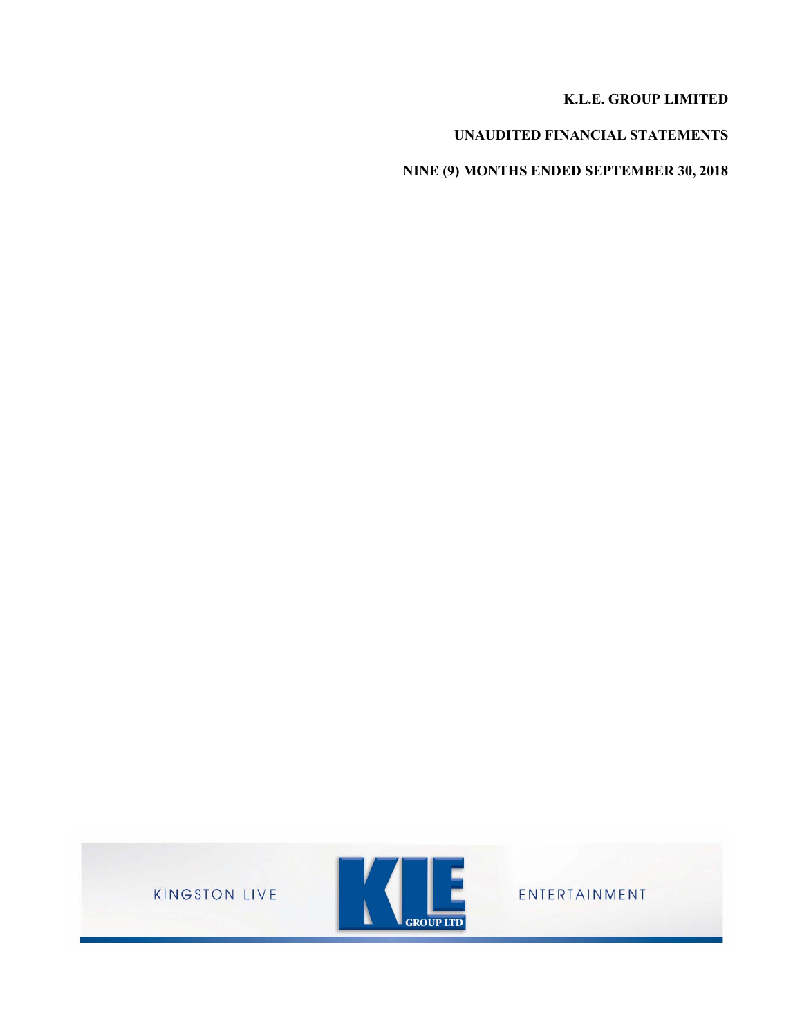# **K.L.E. GROUP LIMITED**

# **UNAUDITED FINANCIAL STATEMENTS**

**NINE (9) MONTHS ENDED SEPTEMBER 30, 2018**

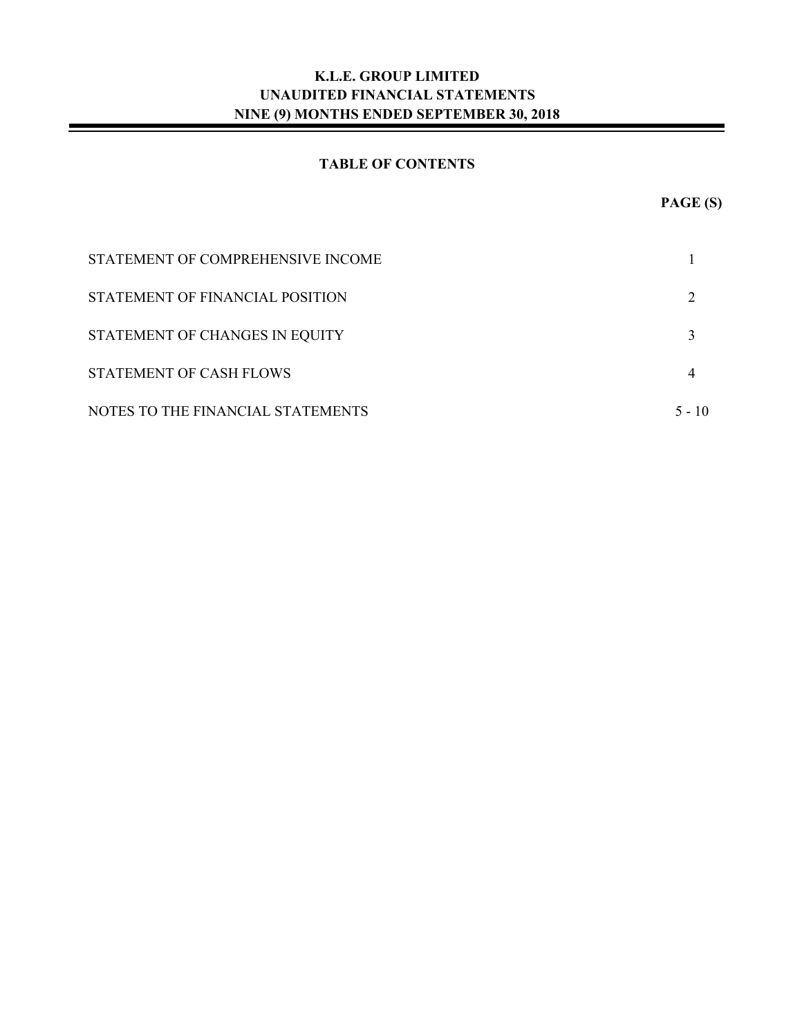# **TABLE OF CONTENTS**

| STATEMENT OF COMPREHENSIVE INCOME |        |
|-----------------------------------|--------|
| STATEMENT OF FINANCIAL POSITION   |        |
| STATEMENT OF CHANGES IN EQUITY    |        |
| STATEMENT OF CASH FLOWS           |        |
| NOTES TO THE FINANCIAL STATEMENTS | 5 - 10 |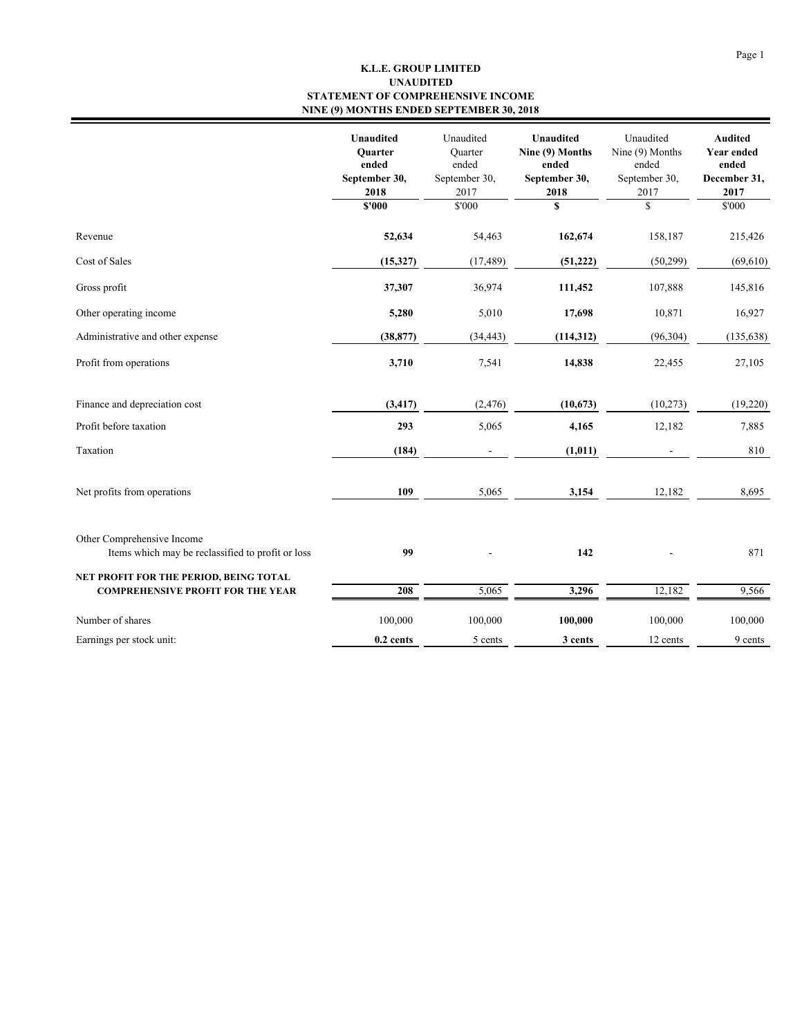#### **K.L.E. GROUP LIMITED STATEMENT OF COMPREHENSIVE INCOME NINE (9) MONTHS ENDED SEPTEMBER 30, 2018 UNAUDITED**

|                                                                                 | <b>Unaudited</b><br><b>Ouarter</b><br>ended<br>September 30,<br>2018 | Unaudited<br><b>Quarter</b><br>ended<br>September 30,<br>2017 | <b>Unaudited</b><br>Nine (9) Months<br>ended<br>September 30,<br>2018 | Unaudited<br>Nine (9) Months<br>ended<br>September 30,<br>2017 | <b>Audited</b><br><b>Year ended</b><br>ended<br>December 31,<br>2017 |
|---------------------------------------------------------------------------------|----------------------------------------------------------------------|---------------------------------------------------------------|-----------------------------------------------------------------------|----------------------------------------------------------------|----------------------------------------------------------------------|
|                                                                                 | \$'000                                                               | \$'000                                                        | S                                                                     | \$                                                             | \$'000                                                               |
| Revenue                                                                         | 52,634                                                               | 54,463                                                        | 162,674                                                               | 158,187                                                        | 215,426                                                              |
| Cost of Sales                                                                   | (15,327)                                                             | (17, 489)                                                     | (51, 222)                                                             | (50,299)                                                       | (69, 610)                                                            |
| Gross profit                                                                    | 37,307                                                               | 36,974                                                        | 111,452                                                               | 107,888                                                        | 145,816                                                              |
| Other operating income                                                          | 5,280                                                                | 5,010                                                         | 17,698                                                                | 10,871                                                         | 16,927                                                               |
| Administrative and other expense                                                | (38, 877)                                                            | (34, 443)                                                     | (114, 312)                                                            | (96, 304)                                                      | (135, 638)                                                           |
| Profit from operations                                                          | 3,710                                                                | 7,541                                                         | 14,838                                                                | 22,455                                                         | 27,105                                                               |
| Finance and depreciation cost                                                   | (3, 417)                                                             | (2, 476)                                                      | (10,673)                                                              | (10,273)                                                       | (19,220)                                                             |
| Profit before taxation                                                          | 293                                                                  | 5,065                                                         | 4,165                                                                 | 12,182                                                         | 7,885                                                                |
| Taxation                                                                        | (184)                                                                |                                                               | (1, 011)                                                              |                                                                | 810                                                                  |
| Net profits from operations                                                     | 109                                                                  | 5,065                                                         | 3,154                                                                 | 12,182                                                         | 8,695                                                                |
| Other Comprehensive Income<br>Items which may be reclassified to profit or loss | 99                                                                   |                                                               | 142                                                                   |                                                                | 871                                                                  |
| NET PROFIT FOR THE PERIOD, BEING TOTAL                                          |                                                                      |                                                               |                                                                       |                                                                |                                                                      |
| <b>COMPREHENSIVE PROFIT FOR THE YEAR</b>                                        | 208                                                                  | 5,065                                                         | 3,296                                                                 | 12,182                                                         | 9,566                                                                |
| Number of shares                                                                | 100,000                                                              | 100,000                                                       | 100,000                                                               | 100,000                                                        | 100,000                                                              |
| Earnings per stock unit:                                                        | 0.2 cents                                                            | 5 cents                                                       | 3 cents                                                               | 12 cents                                                       | 9 cents                                                              |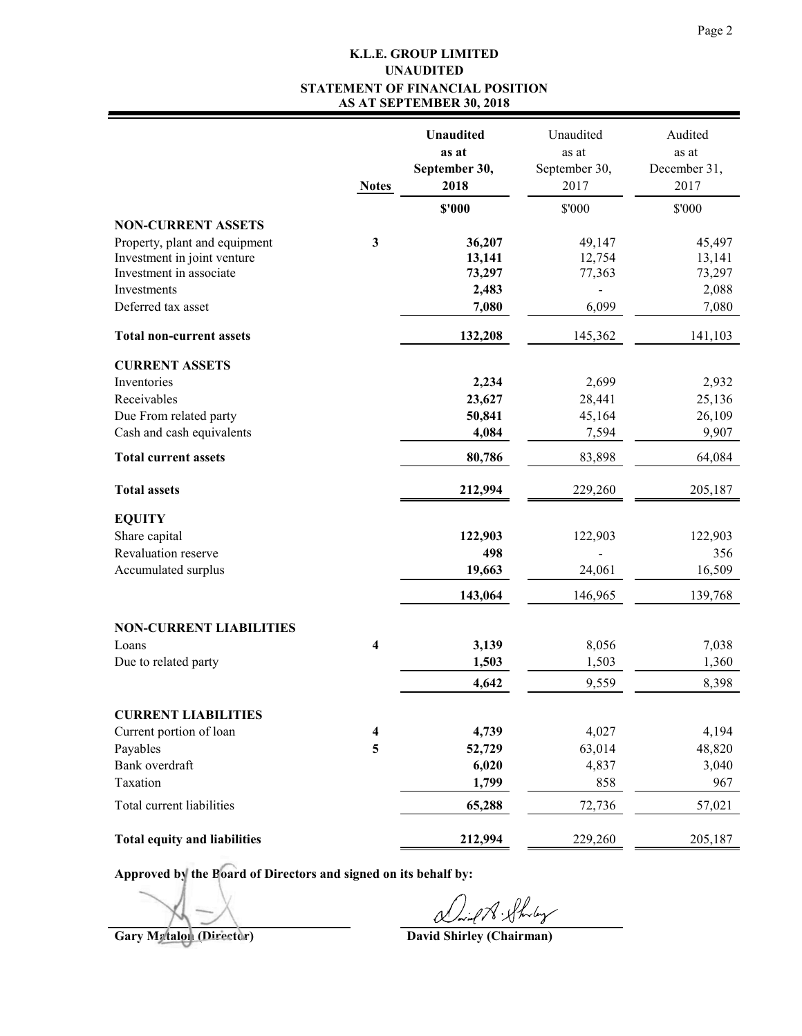#### **K.L.E. GROUP LIMITED STATEMENT OF FINANCIAL POSITION AS AT SEPTEMBER 30, 2018 UNAUDITED**

|                                     | <b>Notes</b> | <b>Unaudited</b><br>as at<br>September 30,<br>2018 | Unaudited<br>as at<br>September 30,<br>2017 | Audited<br>as at<br>December 31,<br>2017 |
|-------------------------------------|--------------|----------------------------------------------------|---------------------------------------------|------------------------------------------|
|                                     |              | \$'000                                             | \$'000                                      | \$'000                                   |
| <b>NON-CURRENT ASSETS</b>           |              |                                                    |                                             |                                          |
| Property, plant and equipment       | 3            | 36,207                                             | 49,147                                      | 45,497                                   |
| Investment in joint venture         |              | 13,141                                             | 12,754                                      | 13,141                                   |
| Investment in associate             |              | 73,297                                             | 77,363                                      | 73,297                                   |
| Investments<br>Deferred tax asset   |              | 2,483<br>7,080                                     | 6,099                                       | 2,088<br>7,080                           |
| <b>Total non-current assets</b>     |              | 132,208                                            | 145,362                                     | 141,103                                  |
| <b>CURRENT ASSETS</b>               |              |                                                    |                                             |                                          |
| Inventories                         |              | 2,234                                              | 2,699                                       | 2,932                                    |
| Receivables                         |              | 23,627                                             | 28,441                                      | 25,136                                   |
| Due From related party              |              | 50,841                                             | 45,164                                      | 26,109                                   |
| Cash and cash equivalents           |              | 4,084                                              | 7,594                                       | 9,907                                    |
| <b>Total current assets</b>         |              | 80,786                                             | 83,898                                      | 64,084                                   |
| <b>Total assets</b>                 |              | 212,994                                            | 229,260                                     | 205,187                                  |
| <b>EQUITY</b>                       |              |                                                    |                                             |                                          |
| Share capital                       |              | 122,903                                            | 122,903                                     | 122,903                                  |
| Revaluation reserve                 |              | 498                                                |                                             | 356                                      |
| Accumulated surplus                 |              | 19,663                                             | 24,061                                      | 16,509                                   |
|                                     |              | 143,064                                            | 146,965                                     | 139,768                                  |
| <b>NON-CURRENT LIABILITIES</b>      |              |                                                    |                                             |                                          |
| Loans                               | 4            | 3,139                                              | 8,056                                       | 7,038                                    |
| Due to related party                |              | 1,503                                              | 1,503                                       | 1,360                                    |
|                                     |              | 4,642                                              | 9,559                                       | 8,398                                    |
| <b>CURRENT LIABILITIES</b>          |              |                                                    |                                             |                                          |
| Current portion of loan             | 4            | 4,739                                              | 4,027                                       | 4,194                                    |
| Payables                            | 5            | 52,729                                             | 63,014                                      | 48,820                                   |
| Bank overdraft                      |              | 6,020                                              | 4,837                                       | 3,040                                    |
| Taxation                            |              | 1,799                                              | 858                                         | 967                                      |
| Total current liabilities           |              | 65,288                                             | 72,736                                      | 57,021                                   |
| <b>Total equity and liabilities</b> |              | 212,994                                            | 229,260                                     | 205,187                                  |

**Approved by the Board of Directors and signed on its behalf by:**

Gary Metalon (Director) **Gary Metalon (Director)** David Shirley (Chairman)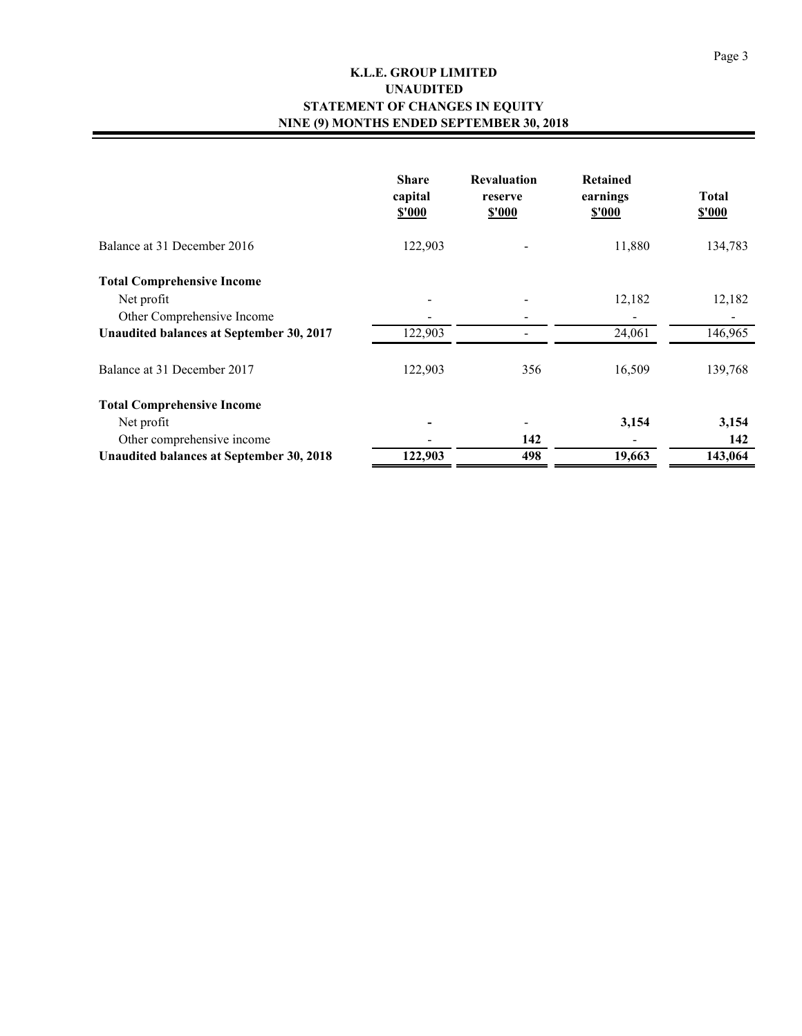## **K.L.E. GROUP LIMITED STATEMENT OF CHANGES IN EQUITY NINE (9) MONTHS ENDED SEPTEMBER 30, 2018 UNAUDITED**

|                                                                               | <b>Share</b><br>capital<br><b>S'000</b> | <b>Revaluation</b><br>reserve<br>\$'000 | <b>Retained</b><br>earnings<br><u>s'000</u> | <b>Total</b><br><b>S'000</b> |
|-------------------------------------------------------------------------------|-----------------------------------------|-----------------------------------------|---------------------------------------------|------------------------------|
| Balance at 31 December 2016                                                   | 122,903                                 |                                         | 11,880                                      | 134,783                      |
| <b>Total Comprehensive Income</b><br>Net profit<br>Other Comprehensive Income |                                         |                                         | 12,182                                      | 12,182                       |
| Unaudited balances at September 30, 2017                                      | 122,903                                 |                                         | 24,061                                      | 146,965                      |
| Balance at 31 December 2017                                                   | 122,903                                 | 356                                     | 16,509                                      | 139,768                      |
| <b>Total Comprehensive Income</b>                                             |                                         |                                         |                                             |                              |
| Net profit                                                                    |                                         |                                         | 3,154                                       | 3,154                        |
| Other comprehensive income                                                    |                                         | 142                                     |                                             | 142                          |
| Unaudited balances at September 30, 2018                                      | 122,903                                 | 498                                     | 19,663                                      | 143,064                      |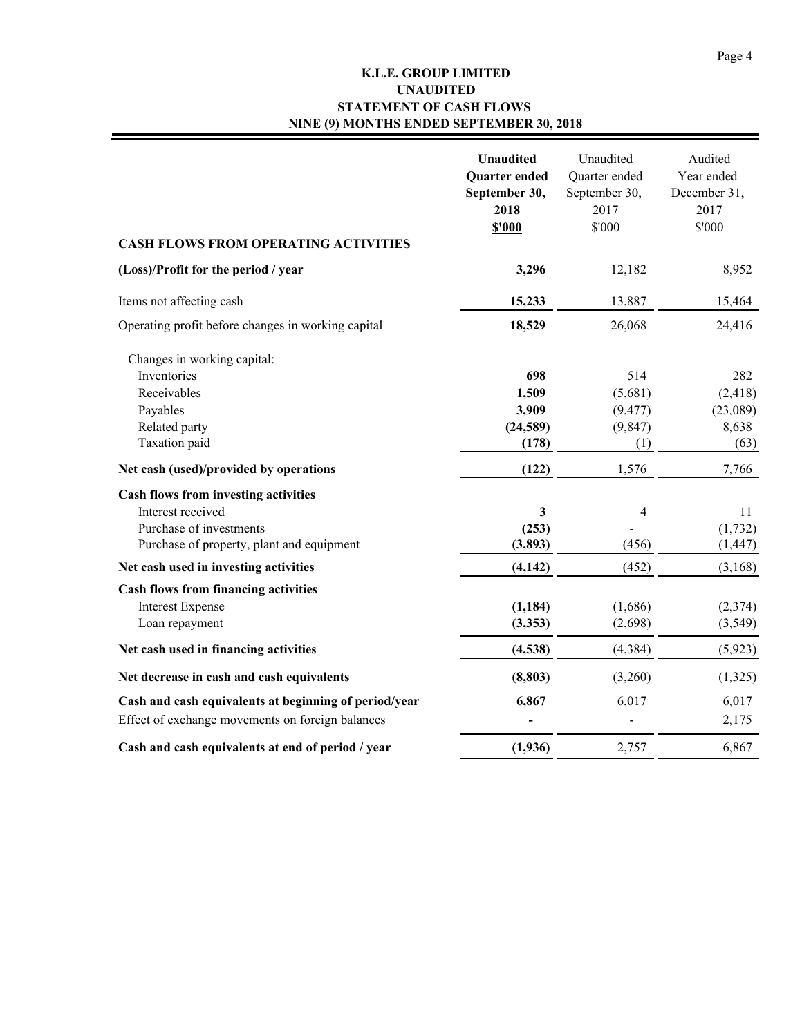# **K.L.E. GROUP LIMITED STATEMENT OF CASH FLOWS NINE (9) MONTHS ENDED SEPTEMBER 30, 2018 UNAUDITED**

| <b>CASH FLOWS FROM OPERATING ACTIVITIES</b>           | <b>Unaudited</b><br><b>Quarter</b> ended<br>September 30,<br>2018<br>\$'000 | Unaudited<br>Quarter ended<br>September 30,<br>2017<br>\$'000 | Audited<br>Year ended<br>December 31,<br>2017<br>\$'000 |
|-------------------------------------------------------|-----------------------------------------------------------------------------|---------------------------------------------------------------|---------------------------------------------------------|
| (Loss)/Profit for the period / year                   | 3,296                                                                       | 12,182                                                        | 8,952                                                   |
|                                                       | 15,233                                                                      | 13,887                                                        |                                                         |
| Items not affecting cash                              |                                                                             |                                                               | 15,464                                                  |
| Operating profit before changes in working capital    | 18,529                                                                      | 26,068                                                        | 24,416                                                  |
| Changes in working capital:                           |                                                                             |                                                               |                                                         |
| Inventories                                           | 698                                                                         | 514                                                           | 282                                                     |
| Receivables                                           | 1,509                                                                       | (5,681)                                                       | (2, 418)                                                |
| Payables                                              | 3,909                                                                       | (9, 477)                                                      | (23,089)                                                |
| Related party                                         | (24, 589)                                                                   | (9, 847)                                                      | 8,638                                                   |
| Taxation paid                                         | (178)                                                                       | (1)                                                           | (63)                                                    |
| Net cash (used)/provided by operations                | (122)                                                                       | 1,576                                                         | 7,766                                                   |
| Cash flows from investing activities                  |                                                                             |                                                               |                                                         |
| Interest received                                     | 3                                                                           | $\overline{\mathcal{L}}$                                      | 11                                                      |
| Purchase of investments                               | (253)                                                                       |                                                               | (1, 732)                                                |
| Purchase of property, plant and equipment             | (3, 893)                                                                    | (456)                                                         | (1, 447)                                                |
| Net cash used in investing activities                 | (4, 142)                                                                    | (452)                                                         | (3,168)                                                 |
| <b>Cash flows from financing activities</b>           |                                                                             |                                                               |                                                         |
| <b>Interest Expense</b>                               | (1, 184)                                                                    | (1,686)                                                       | (2,374)                                                 |
| Loan repayment                                        | (3,353)                                                                     | (2,698)                                                       | (3,549)                                                 |
| Net cash used in financing activities                 | (4,538)                                                                     | (4, 384)                                                      | (5, 923)                                                |
| Net decrease in cash and cash equivalents             | (8, 803)                                                                    | (3,260)                                                       | (1,325)                                                 |
| Cash and cash equivalents at beginning of period/year | 6,867                                                                       | 6,017                                                         | 6,017                                                   |
| Effect of exchange movements on foreign balances      |                                                                             |                                                               | 2,175                                                   |
| Cash and cash equivalents at end of period / year     | (1,936)                                                                     | 2,757                                                         | 6,867                                                   |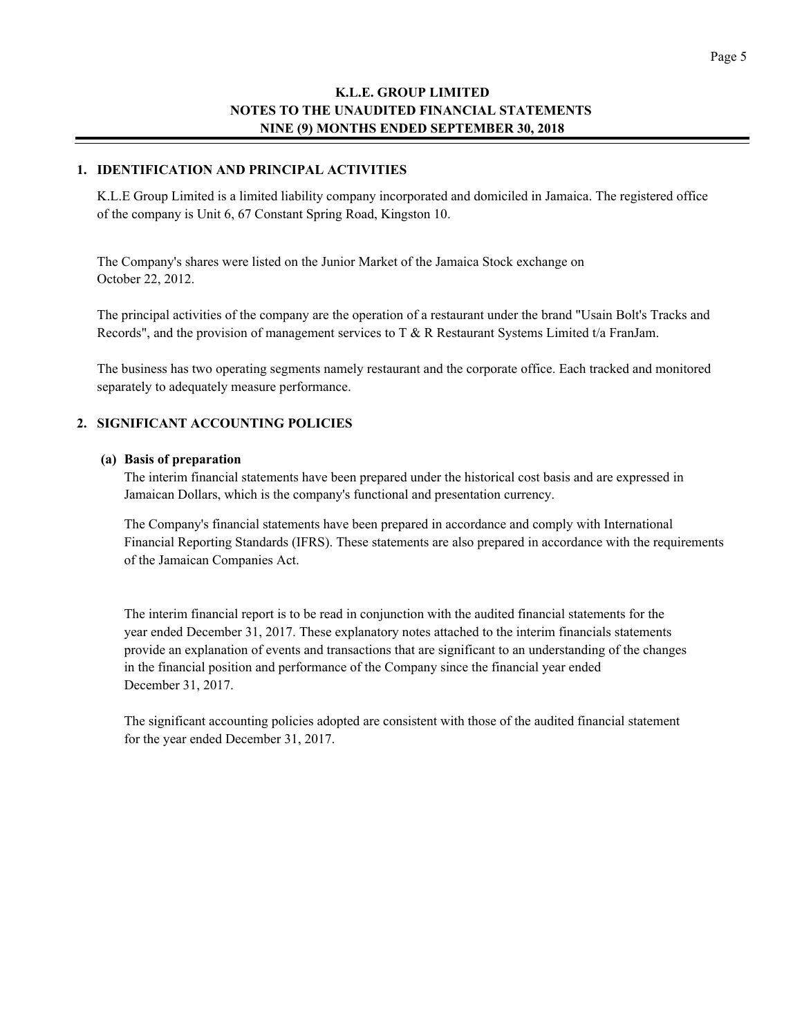#### **1. IDENTIFICATION AND PRINCIPAL ACTIVITIES**

K.L.E Group Limited is a limited liability company incorporated and domiciled in Jamaica. The registered office of the company is Unit 6, 67 Constant Spring Road, Kingston 10.

The Company's shares were listed on the Junior Market of the Jamaica Stock exchange on October 22, 2012.

The principal activities of the company are the operation of a restaurant under the brand "Usain Bolt's Tracks and Records", and the provision of management services to T & R Restaurant Systems Limited t/a FranJam.

The business has two operating segments namely restaurant and the corporate office. Each tracked and monitored separately to adequately measure performance.

#### **2. SIGNIFICANT ACCOUNTING POLICIES**

#### **(a) Basis of preparation**

The interim financial statements have been prepared under the historical cost basis and are expressed in Jamaican Dollars, which is the company's functional and presentation currency.

The Company's financial statements have been prepared in accordance and comply with International Financial Reporting Standards (IFRS). These statements are also prepared in accordance with the requirements of the Jamaican Companies Act.

The interim financial report is to be read in conjunction with the audited financial statements for the year ended December 31, 2017. These explanatory notes attached to the interim financials statements provide an explanation of events and transactions that are significant to an understanding of the changes in the financial position and performance of the Company since the financial year ended December 31, 2017.

The significant accounting policies adopted are consistent with those of the audited financial statement for the year ended December 31, 2017.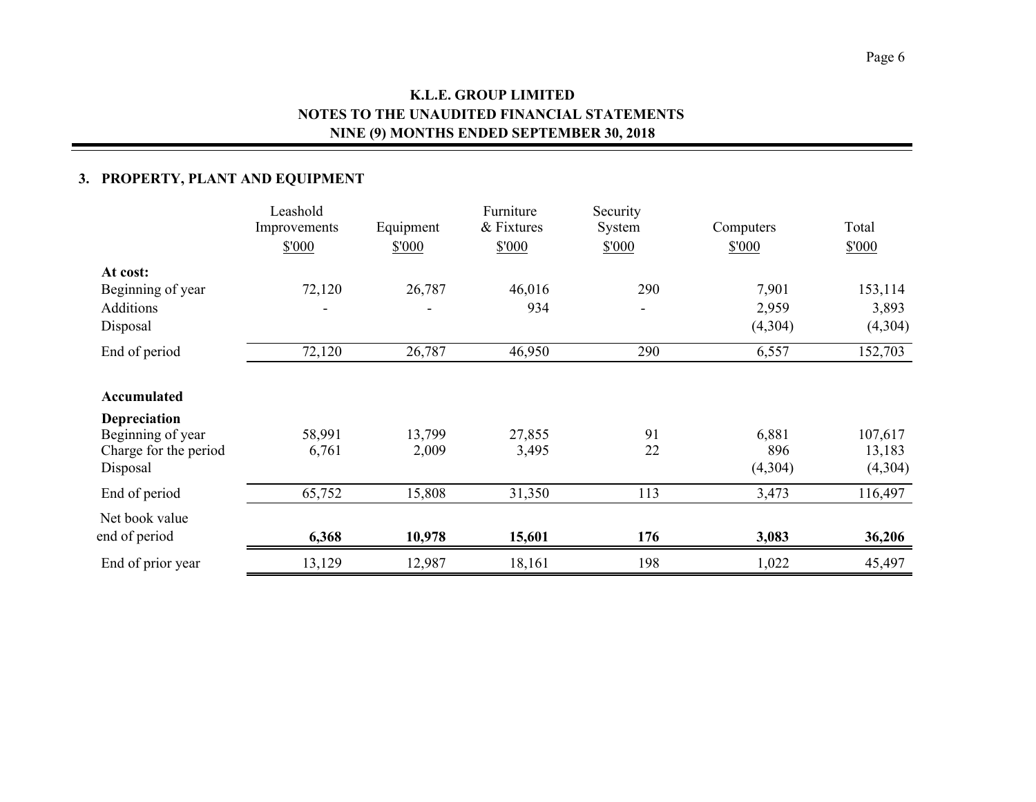# **3. PROPERTY, PLANT AND EQUIPMENT**

|                                                                                       | Leashold<br>Improvements<br>\$'000 | Equipment<br>\$'000 | Furniture<br>& Fixtures<br>\$'000 | Security<br>System<br>\$'000    | Computers<br>\$'000       | Total<br>\$'000              |
|---------------------------------------------------------------------------------------|------------------------------------|---------------------|-----------------------------------|---------------------------------|---------------------------|------------------------------|
| At cost:<br>Beginning of year<br>Additions<br>Disposal                                | 72,120                             | 26,787              | 46,016<br>934                     | 290<br>$\overline{\phantom{0}}$ | 7,901<br>2,959<br>(4,304) | 153,114<br>3,893<br>(4,304)  |
| End of period                                                                         | 72,120                             | 26,787              | 46,950                            | 290                             | 6,557                     | 152,703                      |
| Accumulated<br>Depreciation<br>Beginning of year<br>Charge for the period<br>Disposal | 58,991<br>6,761                    | 13,799<br>2,009     | 27,855<br>3,495                   | 91<br>22                        | 6,881<br>896<br>(4,304)   | 107,617<br>13,183<br>(4,304) |
| End of period                                                                         | 65,752                             | 15,808              | 31,350                            | 113                             | 3,473                     | 116,497                      |
| Net book value<br>end of period                                                       | 6,368                              | 10,978              | 15,601                            | 176                             | 3,083                     | 36,206                       |
| End of prior year                                                                     | 13,129                             | 12,987              | 18,161                            | 198                             | 1,022                     | 45,497                       |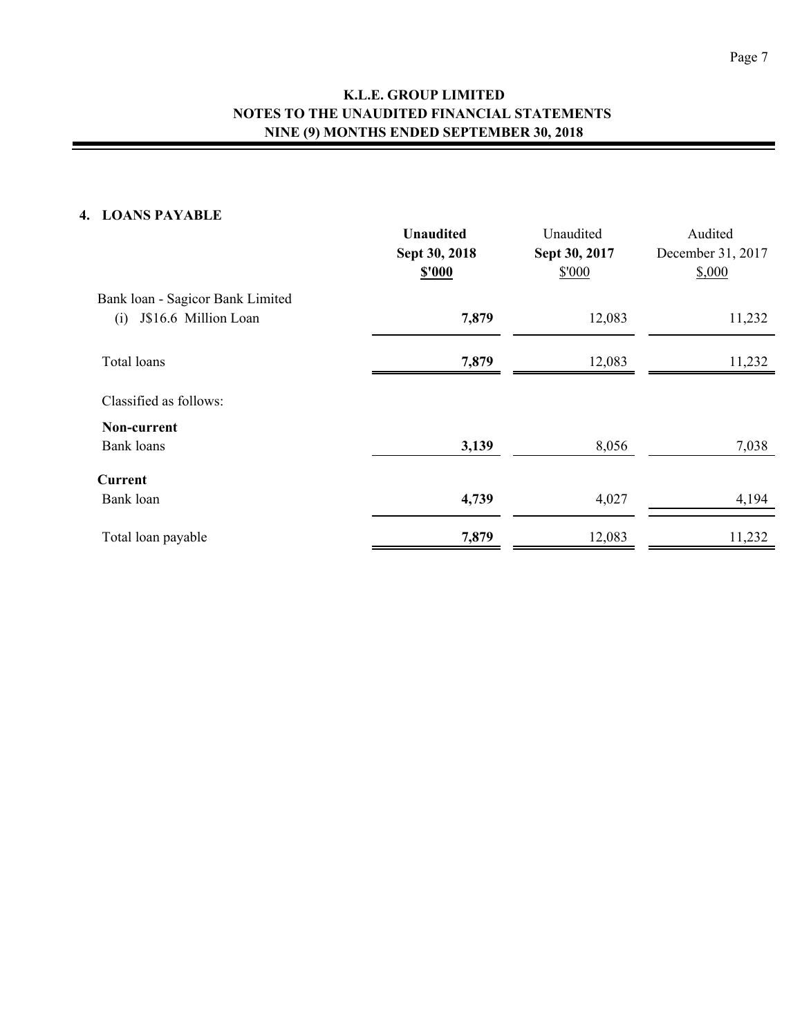# **4. LOANS PAYABLE**

|                                                                 | <b>Unaudited</b><br>Sept 30, 2018<br>\$'000 | Unaudited<br>Sept 30, 2017<br>\$'000 | Audited<br>December 31, 2017<br>\$,000 |
|-----------------------------------------------------------------|---------------------------------------------|--------------------------------------|----------------------------------------|
| Bank loan - Sagicor Bank Limited<br>J\$16.6 Million Loan<br>(i) | 7,879                                       | 12,083                               | 11,232                                 |
| Total loans                                                     | 7,879                                       | 12,083                               | 11,232                                 |
| Classified as follows:                                          |                                             |                                      |                                        |
| Non-current<br><b>Bank loans</b>                                | 3,139                                       | 8,056                                | 7,038                                  |
| Current                                                         |                                             |                                      |                                        |
| Bank loan                                                       | 4,739                                       | 4,027                                | 4,194                                  |
| Total loan payable                                              | 7,879                                       | 12,083                               | 11,232                                 |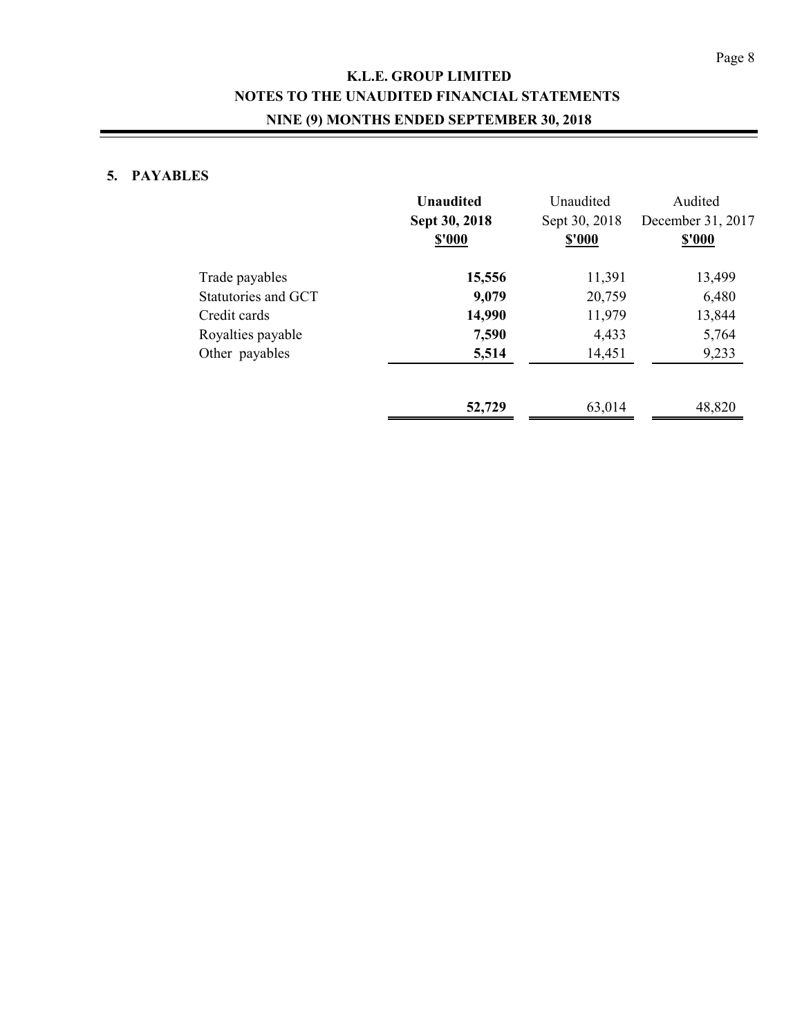# **K.L.E. GROUP LIMITED NOTES TO THE UNAUDITED FINANCIAL STATEMENTS NINE (9) MONTHS ENDED SEPTEMBER 30, 2018**

# **5. PAYABLES**

| <b>Unaudited</b><br>Sept 30, 2018<br>\$'000 | Unaudited<br>Sept 30, 2018<br><b>\$'000</b> | Audited<br>December 31, 2017<br>\$'000 |
|---------------------------------------------|---------------------------------------------|----------------------------------------|
| 15,556                                      | 11,391                                      | 13,499                                 |
| 9,079                                       | 20,759                                      | 6,480                                  |
| 14,990                                      | 11,979                                      | 13,844                                 |
| 7,590                                       | 4,433                                       | 5,764                                  |
| 5,514                                       | 14,451                                      | 9,233                                  |
| 52,729                                      | 63,014                                      | 48,820                                 |
|                                             |                                             |                                        |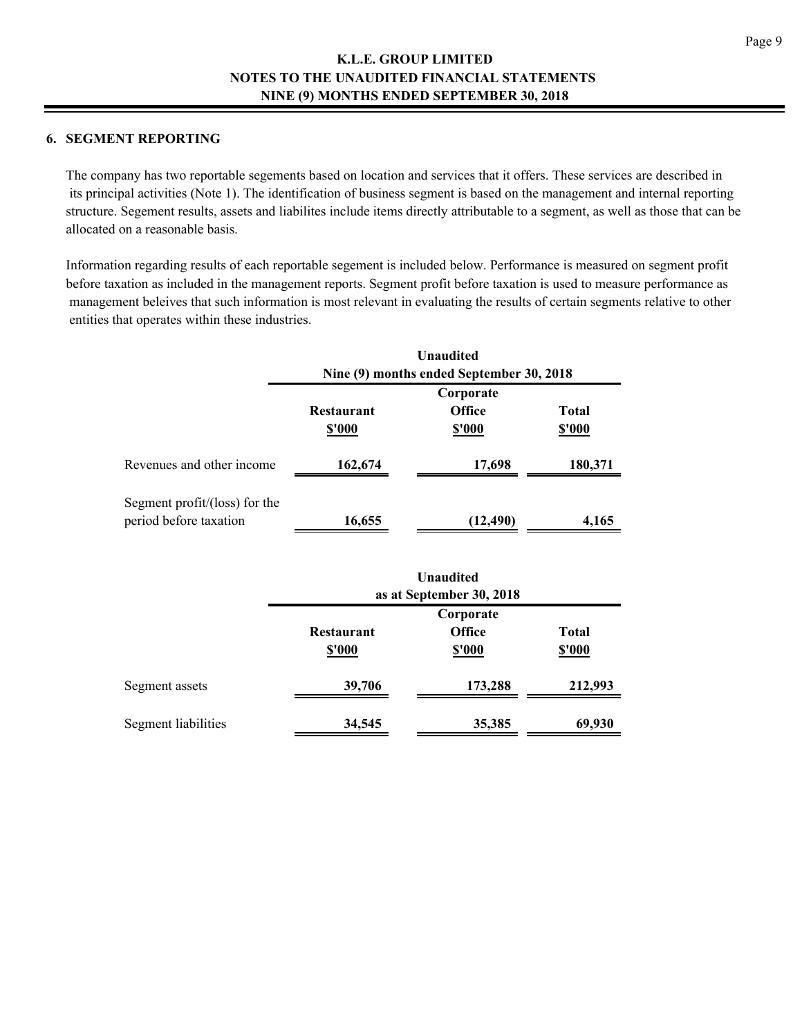## **6. SEGMENT REPORTING**

The company has two reportable segements based on location and services that it offers. These services are described in its principal activities (Note 1). The identification of business segment is based on the management and internal reporting structure. Segement results, assets and liabilites include items directly attributable to a segment, as well as those that can be allocated on a reasonable basis.

Information regarding results of each reportable segement is included below. Performance is measured on segment profit before taxation as included in the management reports. Segment profit before taxation is used to measure performance as management beleives that such information is most relevant in evaluating the results of certain segments relative to other entities that operates within these industries.

|                                                         | <b>Unaudited</b><br>Nine (9) months ended September 30, 2018 |                                             |                        |  |
|---------------------------------------------------------|--------------------------------------------------------------|---------------------------------------------|------------------------|--|
|                                                         | <b>Restaurant</b><br><b>\$'000</b>                           | Corporate<br><b>Office</b><br><b>\$'000</b> | Total<br><b>\$'000</b> |  |
| Revenues and other income                               | 162,674                                                      | 17,698                                      | 180,371                |  |
| Segment profit/(loss) for the<br>period before taxation | 16,655                                                       | (12,490)                                    | 4,165                  |  |

|                     | <b>Unaudited</b><br>as at September 30, 2018 |                                             |                              |  |
|---------------------|----------------------------------------------|---------------------------------------------|------------------------------|--|
|                     | <b>Restaurant</b><br>\$'000                  | Corporate<br><b>Office</b><br><b>\$'000</b> | <b>Total</b><br><b>S'000</b> |  |
| Segment assets      | 39,706                                       | 173,288                                     | 212,993                      |  |
| Segment liabilities | 34,545                                       | 35,385                                      | 69,930                       |  |